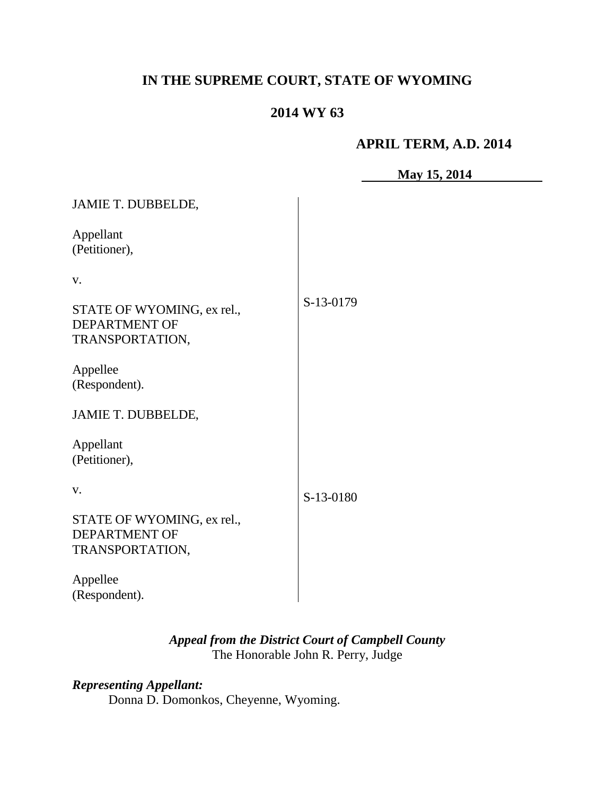## **IN THE SUPREME COURT, STATE OF WYOMING**

## **2014 WY 63**

#### **APRIL TERM, A.D. 2014**

**May 15, 2014**

| <b>JAMIE T. DUBBELDE,</b>                                             |           |
|-----------------------------------------------------------------------|-----------|
| Appellant<br>(Petitioner),                                            |           |
| V.                                                                    |           |
| STATE OF WYOMING, ex rel.,<br><b>DEPARTMENT OF</b><br>TRANSPORTATION, | S-13-0179 |
| Appellee<br>(Respondent).                                             |           |
| <b>JAMIE T. DUBBELDE,</b>                                             |           |
| Appellant<br>(Petitioner),                                            |           |
| V.                                                                    | S-13-0180 |
| STATE OF WYOMING, ex rel.,<br><b>DEPARTMENT OF</b><br>TRANSPORTATION, |           |
| Appellee<br>(Respondent).                                             |           |

## *Appeal from the District Court of Campbell County* The Honorable John R. Perry, Judge

# *Representing Appellant:*

Donna D. Domonkos, Cheyenne, Wyoming.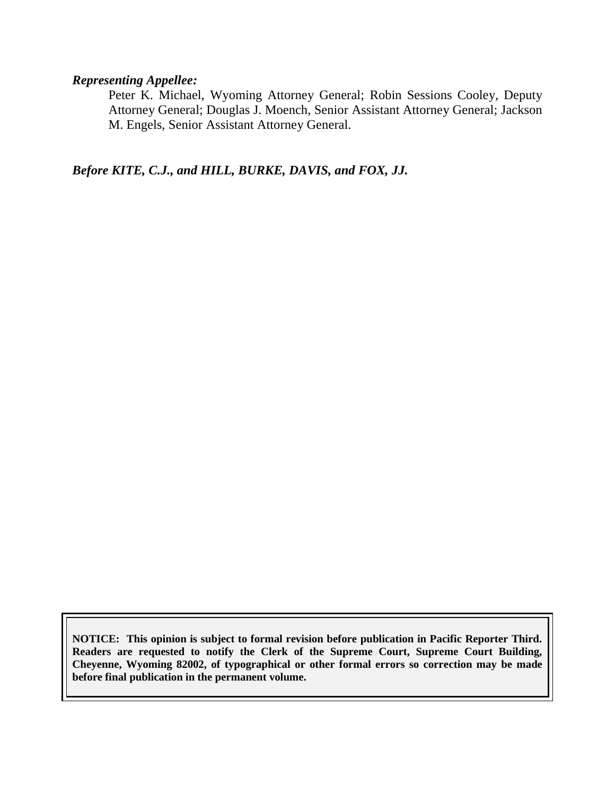#### *Representing Appellee:*

Peter K. Michael, Wyoming Attorney General; Robin Sessions Cooley, Deputy Attorney General; Douglas J. Moench, Senior Assistant Attorney General; Jackson M. Engels, Senior Assistant Attorney General.

*Before KITE, C.J., and HILL, BURKE, DAVIS, and FOX, JJ.*

**NOTICE: This opinion is subject to formal revision before publication in Pacific Reporter Third. Readers are requested to notify the Clerk of the Supreme Court, Supreme Court Building, Cheyenne, Wyoming 82002, of typographical or other formal errors so correction may be made before final publication in the permanent volume.**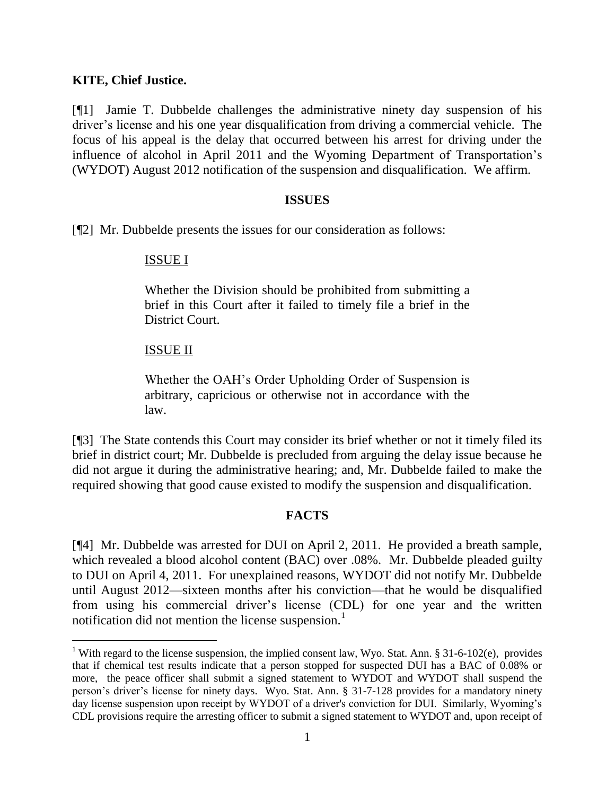#### **KITE, Chief Justice.**

[¶1] Jamie T. Dubbelde challenges the administrative ninety day suspension of his driver's license and his one year disqualification from driving a commercial vehicle. The focus of his appeal is the delay that occurred between his arrest for driving under the influence of alcohol in April 2011 and the Wyoming Department of Transportation's (WYDOT) August 2012 notification of the suspension and disqualification. We affirm.

#### **ISSUES**

[¶2] Mr. Dubbelde presents the issues for our consideration as follows:

#### ISSUE I

Whether the Division should be prohibited from submitting a brief in this Court after it failed to timely file a brief in the District Court.

#### ISSUE II

 $\overline{a}$ 

Whether the OAH's Order Upholding Order of Suspension is arbitrary, capricious or otherwise not in accordance with the law.

[¶3] The State contends this Court may consider its brief whether or not it timely filed its brief in district court; Mr. Dubbelde is precluded from arguing the delay issue because he did not argue it during the administrative hearing; and, Mr. Dubbelde failed to make the required showing that good cause existed to modify the suspension and disqualification.

#### **FACTS**

[¶4] Mr. Dubbelde was arrested for DUI on April 2, 2011. He provided a breath sample, which revealed a blood alcohol content (BAC) over .08%. Mr. Dubbelde pleaded guilty to DUI on April 4, 2011. For unexplained reasons, WYDOT did not notify Mr. Dubbelde until August 2012—sixteen months after his conviction—that he would be disqualified from using his commercial driver's license (CDL) for one year and the written notification did not mention the license suspension.<sup>1</sup>

<sup>&</sup>lt;sup>1</sup> With regard to the license suspension, the implied consent law, Wyo. Stat. Ann. § 31-6-102(e), provides that if chemical test results indicate that a person stopped for suspected DUI has a BAC of 0.08% or more, the peace officer shall submit a signed statement to WYDOT and WYDOT shall suspend the person's driver's license for ninety days. Wyo. Stat. Ann. § 31-7-128 provides for a mandatory ninety day license suspension upon receipt by WYDOT of a driver's conviction for DUI. Similarly, Wyoming's CDL provisions require the arresting officer to submit a signed statement to WYDOT and, upon receipt of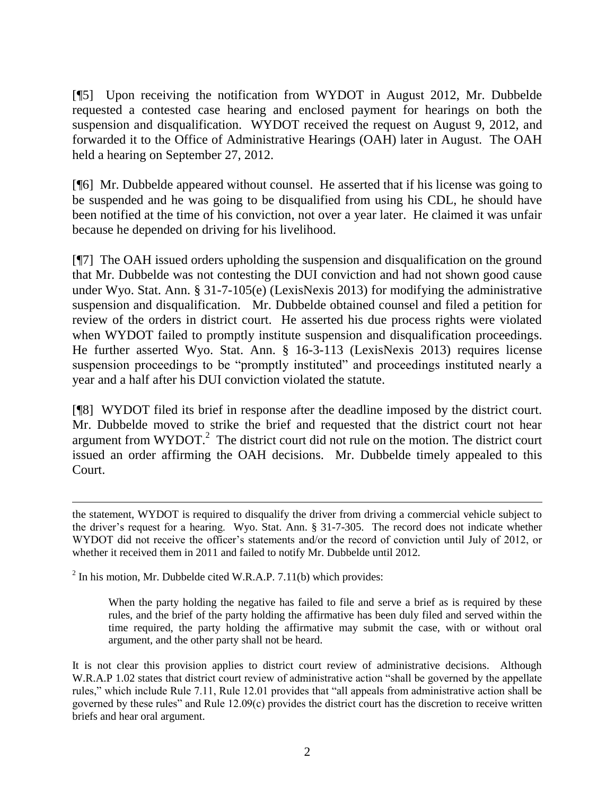[¶5] Upon receiving the notification from WYDOT in August 2012, Mr. Dubbelde requested a contested case hearing and enclosed payment for hearings on both the suspension and disqualification. WYDOT received the request on August 9, 2012, and forwarded it to the Office of Administrative Hearings (OAH) later in August. The OAH held a hearing on September 27, 2012.

[¶6] Mr. Dubbelde appeared without counsel. He asserted that if his license was going to be suspended and he was going to be disqualified from using his CDL, he should have been notified at the time of his conviction, not over a year later. He claimed it was unfair because he depended on driving for his livelihood.

[¶7] The OAH issued orders upholding the suspension and disqualification on the ground that Mr. Dubbelde was not contesting the DUI conviction and had not shown good cause under Wyo. Stat. Ann. § 31-7-105(e) (LexisNexis 2013) for modifying the administrative suspension and disqualification. Mr. Dubbelde obtained counsel and filed a petition for review of the orders in district court. He asserted his due process rights were violated when WYDOT failed to promptly institute suspension and disqualification proceedings. He further asserted Wyo. Stat. Ann. § 16-3-113 (LexisNexis 2013) requires license suspension proceedings to be "promptly instituted" and proceedings instituted nearly a year and a half after his DUI conviction violated the statute.

[¶8] WYDOT filed its brief in response after the deadline imposed by the district court. Mr. Dubbelde moved to strike the brief and requested that the district court not hear argument from  $WYDOT.<sup>2</sup>$  The district court did not rule on the motion. The district court issued an order affirming the OAH decisions. Mr. Dubbelde timely appealed to this Court.

 $2$  In his motion, Mr. Dubbelde cited W.R.A.P. 7.11(b) which provides:

 $\overline{a}$ 

When the party holding the negative has failed to file and serve a brief as is required by these rules, and the brief of the party holding the affirmative has been duly filed and served within the time required, the party holding the affirmative may submit the case, with or without oral argument, and the other party shall not be heard.

It is not clear this provision applies to district court review of administrative decisions. Although W.R.A.P 1.02 states that district court review of administrative action "shall be governed by the appellate rules," which include Rule 7.11, Rule 12.01 provides that "all appeals from administrative action shall be governed by these rules" and Rule 12.09(c) provides the district court has the discretion to receive written briefs and hear oral argument.

the statement, WYDOT is required to disqualify the driver from driving a commercial vehicle subject to the driver's request for a hearing. Wyo. Stat. Ann. § 31-7-305. The record does not indicate whether WYDOT did not receive the officer's statements and/or the record of conviction until July of 2012, or whether it received them in 2011 and failed to notify Mr. Dubbelde until 2012.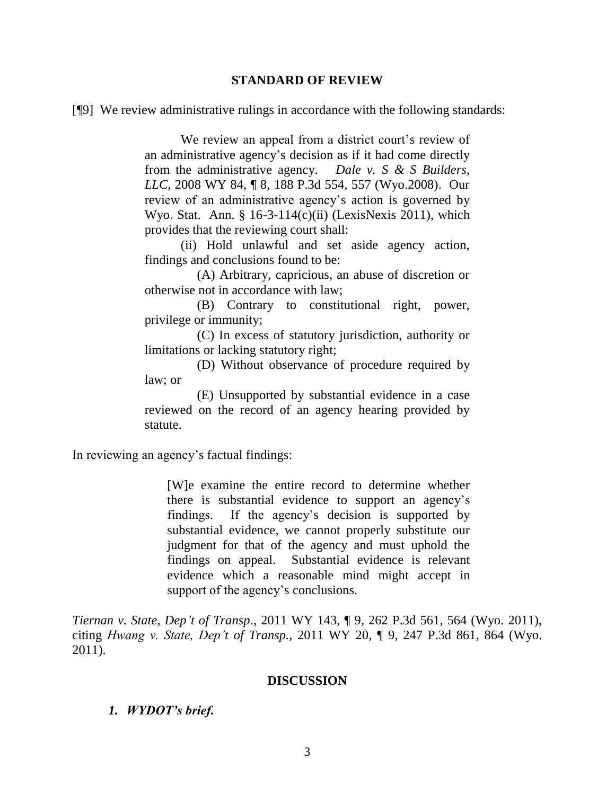#### **STANDARD OF REVIEW**

[¶9] We review administrative rulings in accordance with the following standards:

We review an appeal from a district court's review of an administrative agency's decision as if it had come directly from the administrative agency. *Dale v. S & S Builders, LLC*, 2008 WY 84, ¶ 8, 188 P.3d 554, 557 (Wyo.2008). Our review of an administrative agency's action is governed by Wyo. Stat. Ann. §  $16-3-114(c)(ii)$  (LexisNexis 2011), which provides that the reviewing court shall:

(ii) Hold unlawful and set aside agency action, findings and conclusions found to be:

 (A) Arbitrary, capricious, an abuse of discretion or otherwise not in accordance with law;

 (B) Contrary to constitutional right, power, privilege or immunity;

 (C) In excess of statutory jurisdiction, authority or limitations or lacking statutory right;

 (D) Without observance of procedure required by law; or

 (E) Unsupported by substantial evidence in a case reviewed on the record of an agency hearing provided by statute.

In reviewing an agency's factual findings:

[W]e examine the entire record to determine whether there is substantial evidence to support an agency's findings. If the agency's decision is supported by substantial evidence, we cannot properly substitute our judgment for that of the agency and must uphold the findings on appeal. Substantial evidence is relevant evidence which a reasonable mind might accept in support of the agency's conclusions.

*Tiernan v. State, Dep't of Transp*., 2011 WY 143, ¶ 9, 262 P.3d 561, 564 (Wyo. 2011), citing *Hwang v. State, Dep't of Transp.*, 2011 WY 20, ¶ 9, 247 P.3d 861, 864 (Wyo. 2011).

#### **DISCUSSION**

#### *1. WYDOT's brief.*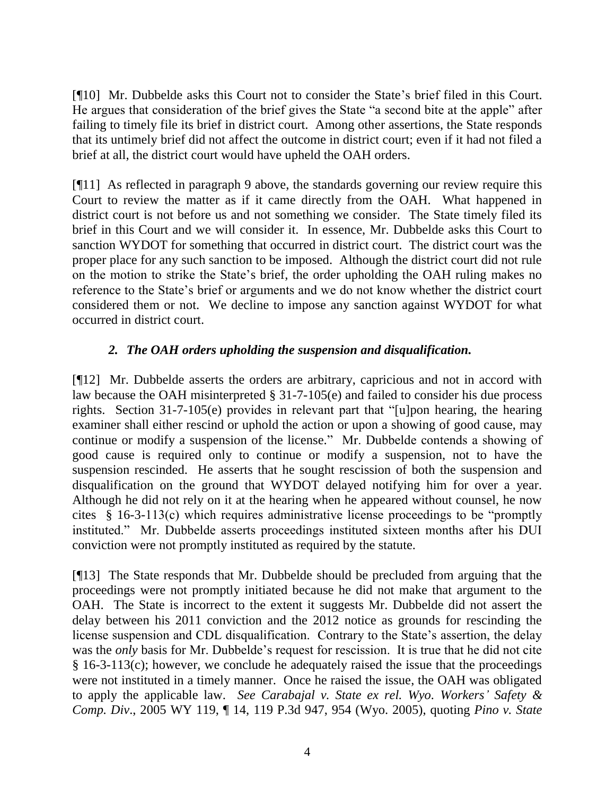[¶10] Mr. Dubbelde asks this Court not to consider the State's brief filed in this Court. He argues that consideration of the brief gives the State "a second bite at the apple" after failing to timely file its brief in district court. Among other assertions, the State responds that its untimely brief did not affect the outcome in district court; even if it had not filed a brief at all, the district court would have upheld the OAH orders.

[¶11] As reflected in paragraph 9 above, the standards governing our review require this Court to review the matter as if it came directly from the OAH. What happened in district court is not before us and not something we consider. The State timely filed its brief in this Court and we will consider it. In essence, Mr. Dubbelde asks this Court to sanction WYDOT for something that occurred in district court. The district court was the proper place for any such sanction to be imposed. Although the district court did not rule on the motion to strike the State's brief, the order upholding the OAH ruling makes no reference to the State's brief or arguments and we do not know whether the district court considered them or not. We decline to impose any sanction against WYDOT for what occurred in district court.

## *2. The OAH orders upholding the suspension and disqualification.*

[¶12] Mr. Dubbelde asserts the orders are arbitrary, capricious and not in accord with law because the OAH misinterpreted § 31-7-105(e) and failed to consider his due process rights. Section 31-7-105(e) provides in relevant part that "[u]pon hearing, the hearing examiner shall either rescind or uphold the action or upon a showing of good cause, may continue or modify a suspension of the license." Mr. Dubbelde contends a showing of good cause is required only to continue or modify a suspension, not to have the suspension rescinded. He asserts that he sought rescission of both the suspension and disqualification on the ground that WYDOT delayed notifying him for over a year. Although he did not rely on it at the hearing when he appeared without counsel, he now cites § 16-3-113(c) which requires administrative license proceedings to be "promptly instituted." Mr. Dubbelde asserts proceedings instituted sixteen months after his DUI conviction were not promptly instituted as required by the statute.

[¶13] The State responds that Mr. Dubbelde should be precluded from arguing that the proceedings were not promptly initiated because he did not make that argument to the OAH. The State is incorrect to the extent it suggests Mr. Dubbelde did not assert the delay between his 2011 conviction and the 2012 notice as grounds for rescinding the license suspension and CDL disqualification. Contrary to the State's assertion, the delay was the *only* basis for Mr. Dubbelde's request for rescission. It is true that he did not cite § 16-3-113(c); however, we conclude he adequately raised the issue that the proceedings were not instituted in a timely manner. Once he raised the issue, the OAH was obligated to apply the applicable law. *See Carabajal v. State ex rel. Wyo. Workers' Safety & Comp. Div*., 2005 WY 119, ¶ 14, 119 P.3d 947, 954 (Wyo. 2005), quoting *Pino v. State*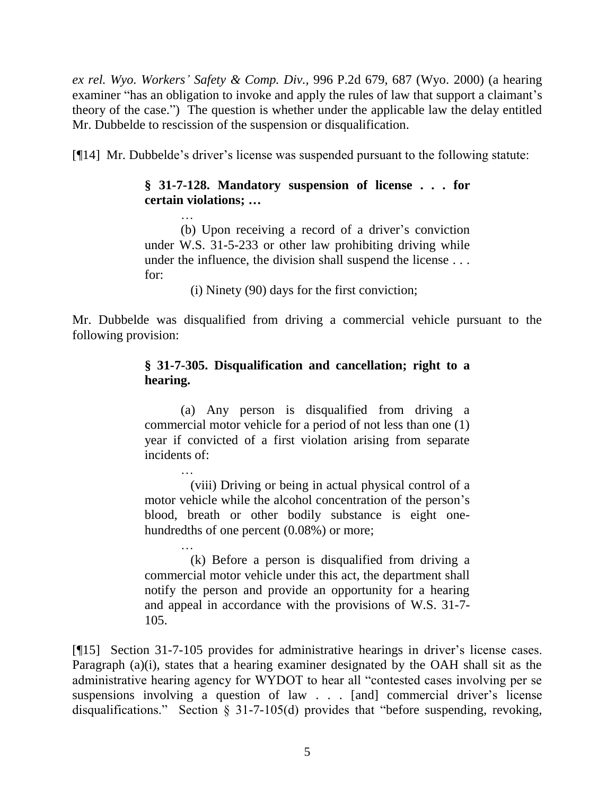*ex rel. Wyo. Workers' Safety & Comp. Div.,* 996 P.2d 679, 687 (Wyo. 2000) (a hearing examiner "has an obligation to invoke and apply the rules of law that support a claimant's theory of the case.") The question is whether under the applicable law the delay entitled Mr. Dubbelde to rescission of the suspension or disqualification.

[¶14] Mr. Dubbelde's driver's license was suspended pursuant to the following statute:

### **§ 31-7-128. Mandatory suspension of license . . . for certain violations; …**

(b) Upon receiving a record of a driver's conviction under W.S. 31-5-233 or other law prohibiting driving while under the influence, the division shall suspend the license . . . for:

(i) Ninety (90) days for the first conviction;

Mr. Dubbelde was disqualified from driving a commercial vehicle pursuant to the following provision:

## **§ 31-7-305. Disqualification and cancellation; right to a hearing.**

(a) Any person is disqualified from driving a commercial motor vehicle for a period of not less than one (1) year if convicted of a first violation arising from separate incidents of:

… (viii) Driving or being in actual physical control of a motor vehicle while the alcohol concentration of the person's blood, breath or other bodily substance is eight onehundredths of one percent  $(0.08\%)$  or more;

… (k) Before a person is disqualified from driving a commercial motor vehicle under this act, the department shall notify the person and provide an opportunity for a hearing and appeal in accordance with the provisions of W.S. 31-7- 105.

[¶15] Section 31-7-105 provides for administrative hearings in driver's license cases. Paragraph (a)(i), states that a hearing examiner designated by the OAH shall sit as the administrative hearing agency for WYDOT to hear all "contested cases involving per se suspensions involving a question of law . . . [and] commercial driver's license disqualifications." Section § 31-7-105(d) provides that "before suspending, revoking,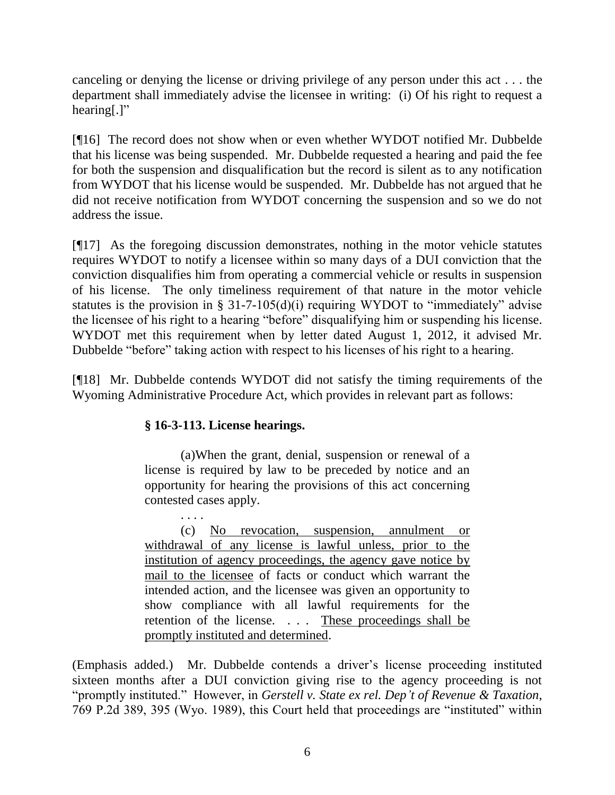canceling or denying the license or driving privilege of any person under this act . . . the department shall immediately advise the licensee in writing: (i) Of his right to request a hearing[.]"

[¶16] The record does not show when or even whether WYDOT notified Mr. Dubbelde that his license was being suspended. Mr. Dubbelde requested a hearing and paid the fee for both the suspension and disqualification but the record is silent as to any notification from WYDOT that his license would be suspended. Mr. Dubbelde has not argued that he did not receive notification from WYDOT concerning the suspension and so we do not address the issue.

[¶17] As the foregoing discussion demonstrates, nothing in the motor vehicle statutes requires WYDOT to notify a licensee within so many days of a DUI conviction that the conviction disqualifies him from operating a commercial vehicle or results in suspension of his license. The only timeliness requirement of that nature in the motor vehicle statutes is the provision in § 31-7-105(d)(i) requiring WYDOT to "immediately" advise the licensee of his right to a hearing "before" disqualifying him or suspending his license. WYDOT met this requirement when by letter dated August 1, 2012, it advised Mr. Dubbelde "before" taking action with respect to his licenses of his right to a hearing.

[¶18] Mr. Dubbelde contends WYDOT did not satisfy the timing requirements of the Wyoming Administrative Procedure Act, which provides in relevant part as follows:

## **§ 16-3-113. License hearings.**

(a)When the grant, denial, suspension or renewal of a license is required by law to be preceded by notice and an opportunity for hearing the provisions of this act concerning contested cases apply.

. . . . (c) No revocation, suspension, annulment or withdrawal of any license is lawful unless, prior to the institution of agency proceedings, the agency gave notice by mail to the licensee of facts or conduct which warrant the intended action, and the licensee was given an opportunity to show compliance with all lawful requirements for the retention of the license. . . . These proceedings shall be promptly instituted and determined.

(Emphasis added.) Mr. Dubbelde contends a driver's license proceeding instituted sixteen months after a DUI conviction giving rise to the agency proceeding is not "promptly instituted." However, in *Gerstell v. State ex rel. Dep't of Revenue & Taxation*, 769 P.2d 389, 395 (Wyo. 1989), this Court held that proceedings are "instituted" within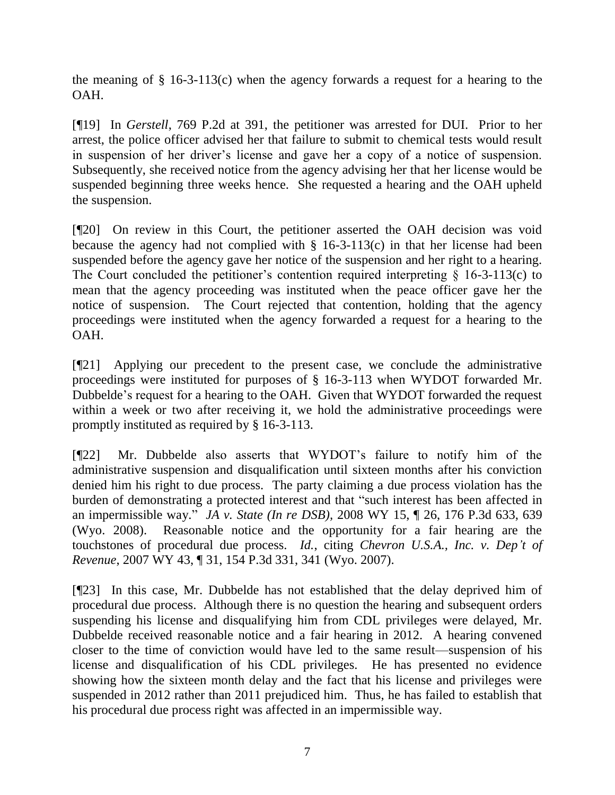the meaning of § 16-3-113(c) when the agency forwards a request for a hearing to the OAH.

[¶19] In *Gerstell*, 769 P.2d at 391, the petitioner was arrested for DUI. Prior to her arrest, the police officer advised her that failure to submit to chemical tests would result in suspension of her driver's license and gave her a copy of a notice of suspension. Subsequently, she received notice from the agency advising her that her license would be suspended beginning three weeks hence. She requested a hearing and the OAH upheld the suspension.

[¶20] On review in this Court, the petitioner asserted the OAH decision was void because the agency had not complied with  $\S$  16-3-113(c) in that her license had been suspended before the agency gave her notice of the suspension and her right to a hearing. The Court concluded the petitioner's contention required interpreting  $\S$  16-3-113(c) to mean that the agency proceeding was instituted when the peace officer gave her the notice of suspension. The Court rejected that contention, holding that the agency proceedings were instituted when the agency forwarded a request for a hearing to the OAH.

[¶21] Applying our precedent to the present case, we conclude the administrative proceedings were instituted for purposes of § 16-3-113 when WYDOT forwarded Mr. Dubbelde's request for a hearing to the OAH. Given that WYDOT forwarded the request within a week or two after receiving it, we hold the administrative proceedings were promptly instituted as required by § 16-3-113.

[¶22] Mr. Dubbelde also asserts that WYDOT's failure to notify him of the administrative suspension and disqualification until sixteen months after his conviction denied him his right to due process. The party claiming a due process violation has the burden of demonstrating a protected interest and that "such interest has been affected in an impermissible way." *JA v. State (In re DSB),* 2008 WY 15, ¶ 26, 176 P.3d 633, 639 (Wyo. 2008). Reasonable notice and the opportunity for a fair hearing are the touchstones of procedural due process. *Id.*, citing *Chevron U.S.A., Inc. v. Dep't of Revenue*, 2007 WY 43, ¶ 31, 154 P.3d 331, 341 (Wyo. 2007).

[¶23] In this case, Mr. Dubbelde has not established that the delay deprived him of procedural due process. Although there is no question the hearing and subsequent orders suspending his license and disqualifying him from CDL privileges were delayed, Mr. Dubbelde received reasonable notice and a fair hearing in 2012. A hearing convened closer to the time of conviction would have led to the same result—suspension of his license and disqualification of his CDL privileges. He has presented no evidence showing how the sixteen month delay and the fact that his license and privileges were suspended in 2012 rather than 2011 prejudiced him. Thus, he has failed to establish that his procedural due process right was affected in an impermissible way.